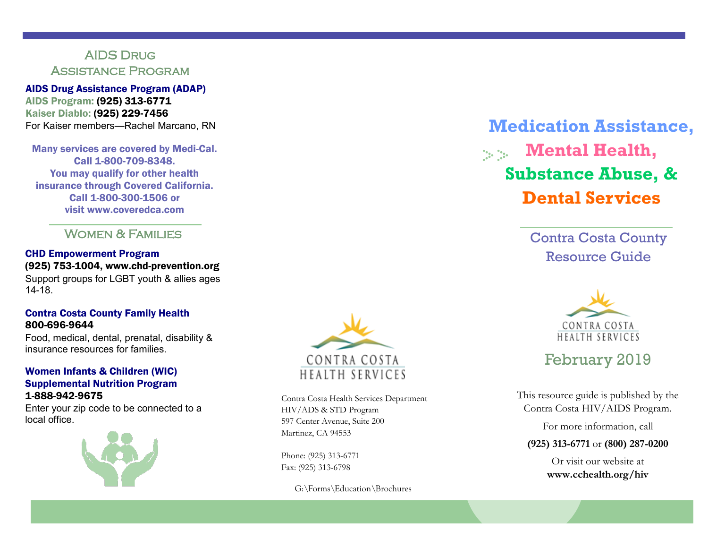## AIDS Drug Assistance Program

AIDS Drug Assistance Program (ADAP) AIDS Program: (925) 313-6771 Kaiser Diablo: (925) 229-7456 For Kaiser members—Rachel Marcano, RN

Many services are covered by Medi-Cal. Call 1-800-709-8348. You may qualify for other health insurance through Covered California. Call 1-800-300-1506 or visit www.coveredca.com

Women & Families

CHD Empowerment Program (925) 753-1004, www.chd-prevention.org Support groups for LGBT youth & allies ages 14-18.

### Contra Costa County Family Health 800-696-9644

Food, medical, dental, prenatal, disability & insurance resources for families.

### Women Infants & Children (WIC) Supplemental Nutrition Program 1-888-942-9675

Enter your zip code to be connected to a local office.





Contra Costa Health Services Department HIV/ADS & STD Program 597 Center Avenue, Suite 200 Martinez, CA 94553

Phone: (925) 313-6771 Fax: (925) 313-6798

G:\Forms\Education\Brochures

# **Medication Assistance, Mental Health, Substance Abuse, & Dental Services**

Contra Costa County Resource Guide



## February 2019

This resource guide is published by the Contra Costa HIV/AIDS Program.

For more information, call

**(925) 313-6771** or **(800) 287-0200**

Or visit our website at **www.cchealth.org/hiv**